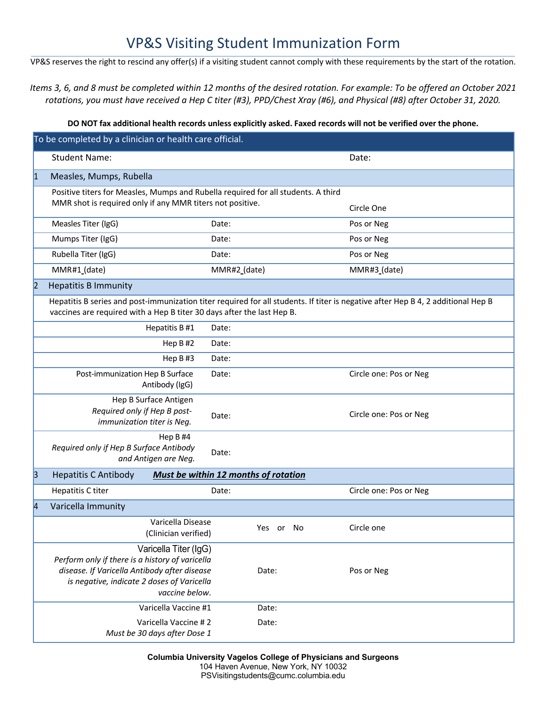## VP&S Visiting Student Immunization Form

VP&S reserves the right to rescind any offer(s) if a visiting student cannot comply with these requirements by the start of the rotation.

*Items 3, 6, and 8 must be completed within 12 months of the desired rotation. For example: To be offered an October 2021 rotations, you must have received a Hep C titer (#3), PPD/Chest Xray (#6), and Physical (#8) after October 31, 2020.*

## **DO NOT fax additional health records unless explicitly asked. Faxed records will not be verified over the phone.**

| To be completed by a clinician or health care official. |                                                                                                                                                                                          |                                      |              |    |  |                        |  |  |  |  |  |
|---------------------------------------------------------|------------------------------------------------------------------------------------------------------------------------------------------------------------------------------------------|--------------------------------------|--------------|----|--|------------------------|--|--|--|--|--|
|                                                         | <b>Student Name:</b>                                                                                                                                                                     |                                      |              |    |  | Date:                  |  |  |  |  |  |
| $\vert$ 1                                               | Measles, Mumps, Rubella                                                                                                                                                                  |                                      |              |    |  |                        |  |  |  |  |  |
|                                                         | Positive titers for Measles, Mumps and Rubella required for all students. A third                                                                                                        |                                      |              |    |  |                        |  |  |  |  |  |
|                                                         | MMR shot is required only if any MMR titers not positive.                                                                                                                                |                                      |              |    |  | Circle One             |  |  |  |  |  |
|                                                         | Measles Titer (IgG)                                                                                                                                                                      | Date:                                |              |    |  | Pos or Neg             |  |  |  |  |  |
|                                                         | Mumps Titer (IgG)                                                                                                                                                                        | Date:                                |              |    |  | Pos or Neg             |  |  |  |  |  |
|                                                         | Rubella Titer (IgG)                                                                                                                                                                      | Date:                                |              |    |  | Pos or Neg             |  |  |  |  |  |
|                                                         | MMR#1_(date)                                                                                                                                                                             |                                      | MMR#2_(date) |    |  | MMR#3 (date)           |  |  |  |  |  |
| 2                                                       | <b>Hepatitis B Immunity</b>                                                                                                                                                              |                                      |              |    |  |                        |  |  |  |  |  |
|                                                         | Hepatitis B series and post-immunization titer required for all students. If titer is negative after Hep B 4, 2 additional Hep B                                                         |                                      |              |    |  |                        |  |  |  |  |  |
|                                                         | vaccines are required with a Hep B titer 30 days after the last Hep B.                                                                                                                   |                                      |              |    |  |                        |  |  |  |  |  |
|                                                         | Hepatitis B #1                                                                                                                                                                           | Date:                                |              |    |  |                        |  |  |  |  |  |
|                                                         | Hep B#2                                                                                                                                                                                  | Date:                                |              |    |  |                        |  |  |  |  |  |
|                                                         | Hep $B#3$                                                                                                                                                                                | Date:                                |              |    |  |                        |  |  |  |  |  |
|                                                         | Post-immunization Hep B Surface<br>Antibody (IgG)                                                                                                                                        | Date:                                |              |    |  | Circle one: Pos or Neg |  |  |  |  |  |
|                                                         | Hep B Surface Antigen<br>Required only if Hep B post-<br>immunization titer is Neg.                                                                                                      | Date:                                |              |    |  | Circle one: Pos or Neg |  |  |  |  |  |
|                                                         | Hep B#4<br>Required only if Hep B Surface Antibody<br>and Antigen are Neg.                                                                                                               | Date:                                |              |    |  |                        |  |  |  |  |  |
| 3                                                       | <b>Hepatitis C Antibody</b>                                                                                                                                                              | Must be within 12 months of rotation |              |    |  |                        |  |  |  |  |  |
|                                                         | Hepatitis C titer                                                                                                                                                                        | Date:                                |              |    |  | Circle one: Pos or Neg |  |  |  |  |  |
| $\vert 4 \vert$                                         | Varicella Immunity                                                                                                                                                                       |                                      |              |    |  |                        |  |  |  |  |  |
|                                                         | Varicella Disease<br>(Clinician verified)                                                                                                                                                |                                      | Yes<br>or    | No |  | Circle one             |  |  |  |  |  |
|                                                         | Varicella Titer (IgG)<br>Perform only if there is a history of varicella<br>disease. If Varicella Antibody after disease<br>is negative, indicate 2 doses of Varicella<br>vaccine below. |                                      | Date:        |    |  | Pos or Neg             |  |  |  |  |  |
|                                                         | Varicella Vaccine #1                                                                                                                                                                     |                                      | Date:        |    |  |                        |  |  |  |  |  |
|                                                         | Varicella Vaccine #2<br>Must be 30 days after Dose 1                                                                                                                                     |                                      | Date:        |    |  |                        |  |  |  |  |  |